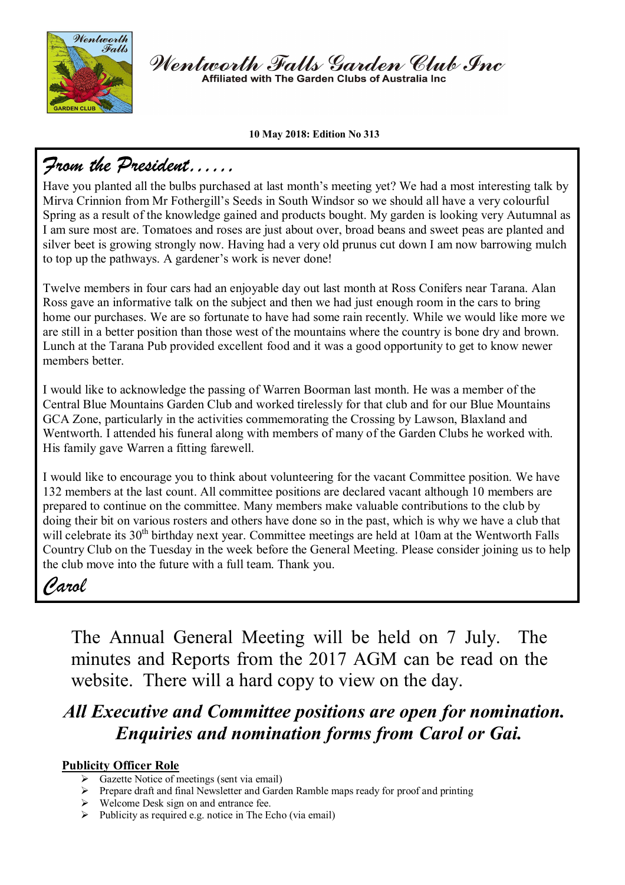

Wentworth Falls Garden Club Inc Affiliated with The Garden Clubs of Australia Inc

#### **10 May 2018: Edition No 313**

# *From the President……*

Have you planted all the bulbs purchased at last month's meeting yet? We had a most interesting talk by Mirva Crinnion from Mr Fothergill's Seeds in South Windsor so we should all have a very colourful Spring as a result of the knowledge gained and products bought. My garden is looking very Autumnal as I am sure most are. Tomatoes and roses are just about over, broad beans and sweet peas are planted and silver beet is growing strongly now. Having had a very old prunus cut down I am now barrowing mulch to top up the pathways. A gardener's work is never done!

Twelve members in four cars had an enjoyable day out last month at Ross Conifers near Tarana. Alan Ross gave an informative talk on the subject and then we had just enough room in the cars to bring home our purchases. We are so fortunate to have had some rain recently. While we would like more we are still in a better position than those west of the mountains where the country is bone dry and brown. Lunch at the Tarana Pub provided excellent food and it was a good opportunity to get to know newer members better.

I would like to acknowledge the passing of Warren Boorman last month. He was a member of the Central Blue Mountains Garden Club and worked tirelessly for that club and for our Blue Mountains GCA Zone, particularly in the activities commemorating the Crossing by Lawson, Blaxland and Wentworth. I attended his funeral along with members of many of the Garden Clubs he worked with. His family gave Warren a fitting farewell.

I would like to encourage you to think about volunteering for the vacant Committee position. We have 132 members at the last count. All committee positions are declared vacant although 10 members are prepared to continue on the committee. Many members make valuable contributions to the club by doing their bit on various rosters and others have done so in the past, which is why we have a club that will celebrate its 30<sup>th</sup> birthday next year. Committee meetings are held at 10am at the Wentworth Falls Country Club on the Tuesday in the week before the General Meeting. Please consider joining us to help the club move into the future with a full team. Thank you.

# *Carol*

The Annual General Meeting will be held on 7 July. The minutes and Reports from the 2017 AGM can be read on the website. There will a hard copy to view on the day.

# *All Executive and Committee positions are open for nomination. Enquiries and nomination forms from Carol or Gai.*

## **Publicity Officer Role**

- Gazette Notice of meetings (sent via email)
- $\triangleright$  Prepare draft and final Newsletter and Garden Ramble maps ready for proof and printing
- ▶ Welcome Desk sign on and entrance fee.
- $\triangleright$  Publicity as required e.g. notice in The Echo (via email)